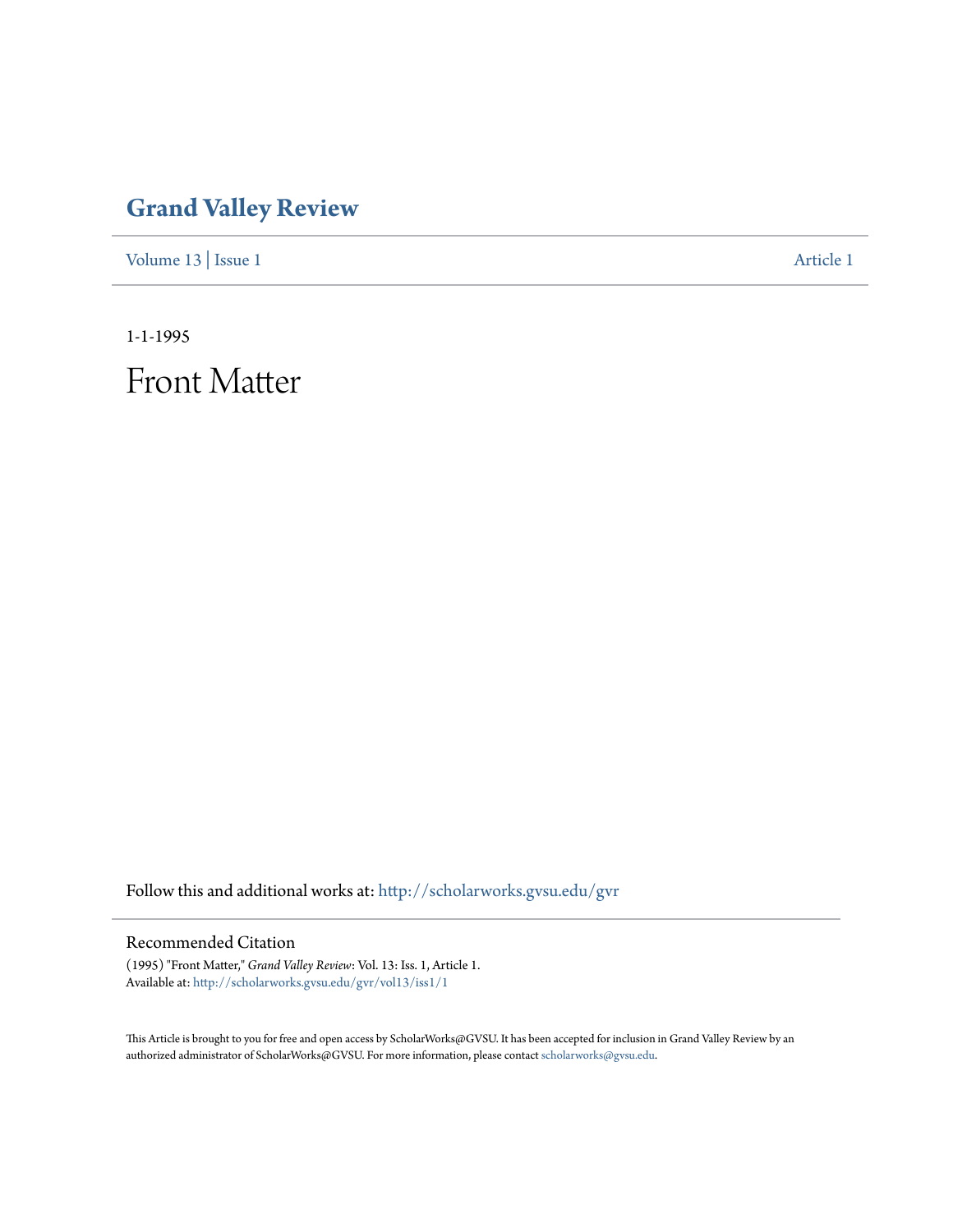## **[Grand Valley Review](http://scholarworks.gvsu.edu/gvr?utm_source=scholarworks.gvsu.edu%2Fgvr%2Fvol13%2Fiss1%2F1&utm_medium=PDF&utm_campaign=PDFCoverPages)**

[Volume 13](http://scholarworks.gvsu.edu/gvr/vol13?utm_source=scholarworks.gvsu.edu%2Fgvr%2Fvol13%2Fiss1%2F1&utm_medium=PDF&utm_campaign=PDFCoverPages) | [Issue 1](http://scholarworks.gvsu.edu/gvr/vol13/iss1?utm_source=scholarworks.gvsu.edu%2Fgvr%2Fvol13%2Fiss1%2F1&utm_medium=PDF&utm_campaign=PDFCoverPages) [Article 1](http://scholarworks.gvsu.edu/gvr/vol13/iss1/1?utm_source=scholarworks.gvsu.edu%2Fgvr%2Fvol13%2Fiss1%2F1&utm_medium=PDF&utm_campaign=PDFCoverPages)

1-1-1995

Front Matter

Follow this and additional works at: [http://scholarworks.gvsu.edu/gvr](http://scholarworks.gvsu.edu/gvr?utm_source=scholarworks.gvsu.edu%2Fgvr%2Fvol13%2Fiss1%2F1&utm_medium=PDF&utm_campaign=PDFCoverPages)

## Recommended Citation

(1995) "Front Matter," *Grand Valley Review*: Vol. 13: Iss. 1, Article 1. Available at: [http://scholarworks.gvsu.edu/gvr/vol13/iss1/1](http://scholarworks.gvsu.edu/gvr/vol13/iss1/1?utm_source=scholarworks.gvsu.edu%2Fgvr%2Fvol13%2Fiss1%2F1&utm_medium=PDF&utm_campaign=PDFCoverPages)

This Article is brought to you for free and open access by ScholarWorks@GVSU. It has been accepted for inclusion in Grand Valley Review by an authorized administrator of ScholarWorks@GVSU. For more information, please contact [scholarworks@gvsu.edu.](mailto:scholarworks@gvsu.edu)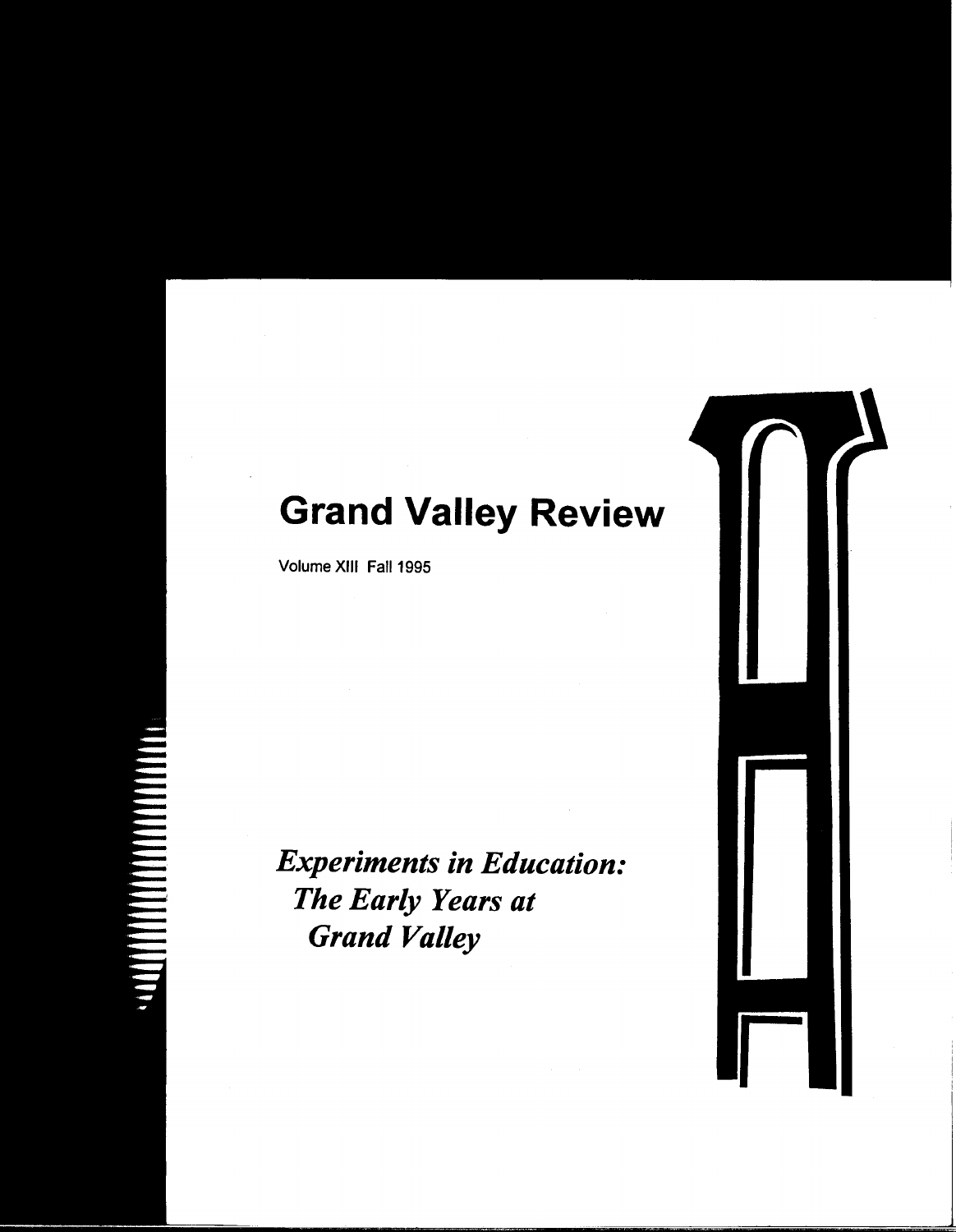## **Grand Valley Review**

Volume XIII Fall 1995

*Experiments in Education: The Early Years at Grand Valley*